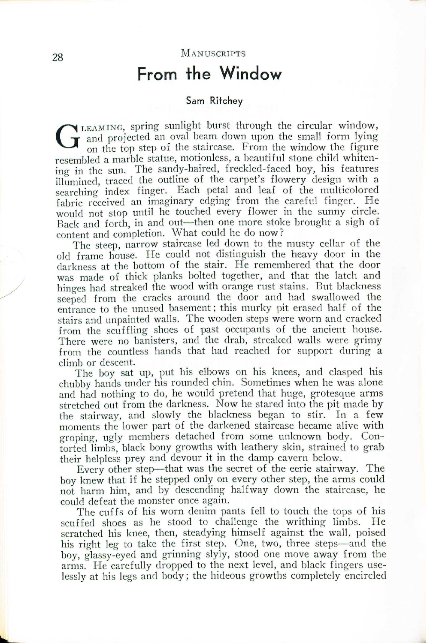## **From the Window**

### **Sam Ritchey**

G  $\blacktriangleright$  LEAMING, spring sunlight burst through the circular window, and projected an oval beam down upon the small form lying on the top step of the staircase. From the window the figure resembled a marble statue, motionless, a beautiful stone child whiten ing in the sun. The sandy-haired, freckled-faced boy, his features illumined, traced the outline of the carpet's flowery design with a searching index finger. Each petal and leaf of the multicolored fabric received an imaginary edging from the careful finger. He would not stop until he touched every flower in the sunny circle. Back and forth, in and out-then one more stoke brought a sigh of content and completion. What could he do now?

The steep, narrow staircase led down to the musty cellar of the old frame house. He could not distinguish the heavy door in the darkness at the bottom of the stair. He remembered that the door was made of thick planks bolted together, and that the latch and hinges had streaked the wood with orange rust stains. But blackness seeped from the cracks around the door and had swallowed the entrance to the unused basement; this murky pit erased half of the stairs and unpainted walls. The wooden steps were worn and cracked from the scuffling shoes of past occupants of the ancient house. There were no banisters, and the drab, streaked walls were grimy from the countless hands that had reached for support during a climb or descent.

The boy sat up, put his elbows on his knees, and clasped his chubby hands under his rounded chin. Sometimes when he was alone and had nothing to do, he would pretend that huge, grotesque arms stretched out from the darkness. Now he stared into the pit made by the stairway, and slowly the blackness began to stir. In a few moments the lower part of the darkened staircase became alive with groping, ugly members detached from some unknown body. Contorted limbs, black bony growths with leathery skin, strained to grab their helpless prey and devour it in the damp cavern below.

Every other step-that was the secret of the eerie stairway. The boy knew that if he stepped only on every other step, the arms could not harm him, and by descending halfway down the staircase, he could defeat the monster once again.

The cuffs of his worn denim pants fell to touch the tops of his scuffed shoes as he stood to challenge the writhing limbs. He scratched his knee, then, steadying himself against the wall, poised his right leg to take the first step. One, two, three steps—and the boy, glassy-eyed and grinning slyly, stood one move away from the arms. He carefully dropped to the next level, and black fingers uselessly at his legs and body; the hideous growths completely encircled

/